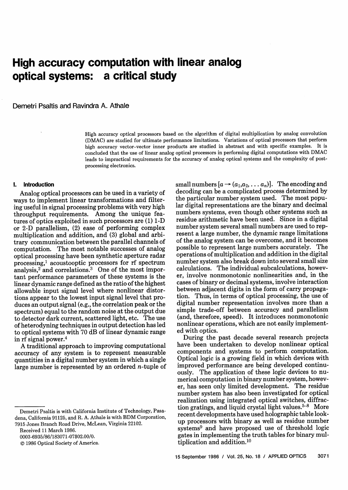# **High accuracy computation with linear analog optical systems: a critical study**

Demetri Psaltis and Ravindra A. Athale

High accuracy optical processors based on the algorithm of digital multiplication by analog convolution (DMAC) are studied for ultimate performance limitations. Variations of optical processors that perform high accuracy vector-vector inner products are studied in abstract and with specific examples. It is concluded that the use of linear analog optical processors in performing digital computations with DMAC leads to impractical requirements for the accuracy of analog optical systems and the complexity of postprocessing electronics.

### **1. Introduction**

Analog optical processors can be used in a variety of ways to implement linear transformations and filtering useful in signal processing problems with very high throughput requirements. Among the unique features of optics exploited in such processors are (1) 1-D or 2-D parallelism, (2) ease of performing complex multiplication and addition, and (3) global and arbitrary communication between the parallel channels of computation. The most notable successes of analog optical processing have been synthetic aperture radar processing,1 acoustooptic processors for rf spectrum analysis, $2^{\circ}$  and correlations.<sup>3</sup> One of the most important performance parameters of these systems is the linear dynamic range defined as the ratio of the highest allowable input signal level where nonlinear distortions appear to the lowest input signal level that produces an output signal (e.g., the correlation peak or the spectrum) equal to the random noise at the output due to detector dark current, scattered light, etc. The use of heterodyning techniques in output detection has led to optical systems with 70 dB of linear dynamic range in rf signal power.4

A traditional approach to improving computational accuracy of any system is to represent measurable quantities in a digital number system in which a single large number is represented by an ordered n-tuple of

Received 11 March 1986.

© 1986 Optical Society of America.

small numbers  $[a \rightarrow (a_1,a_2,\ldots a_n)]$ . The encoding and decoding can be a complicated process determined by the particular number system used. The most popular digital representations are the binary and decimal numbers systems, even though other systems such as residue arithmetic have been used. Since in a digital number system several small numbers are used to represent a large number, the dynamic range limitations of the analog system can be overcome, and it becomes possible to represent large numbers accurately. The operations of multiplication and addition in the digital number system also break down into several small size calculations. The individual subcalculations, however, involve nonmonotonic nonlinearities and, in the cases of binary or decimal systems, involve interaction between adjacent digits in the form of carry propagation. Thus, in terms of optical processing, the use of digital number representation involves more than a simple trade-off between accuracy and parallelism (and, therefore, speed). It introduces nonmonotonic nonlinear operations, which are not easily implemented with optics.

During the past decade several research projects have been undertaken to develop nonlinear optical components and systems to perform computation. Optical logic is a growing field in which devices with improved performance are being developed continuously. The application of these logic devices to numerical computation in binary number system, however, has seen only limited development. The residue number system has also been investigated for optical realization using integrated optical switches, diffraction gratings, and liquid crystal light values. $5-8$  More recent developments have used holographic table lookup processors with binary as well as residue number systems9 and have proposed use of threshold logic gates in implementing the truth tables for binary multiplication and addition.<sup>10</sup>

Demetri Psaltis is with California Institute of Technology, Pasadena, California 91125, and R. A. Athale is with BDM Corporation, 7915 Jones Branch Road Drive, McLean, Virginia 22102.

<sup>0003-6935/86/183071-07\$02.00/0.</sup>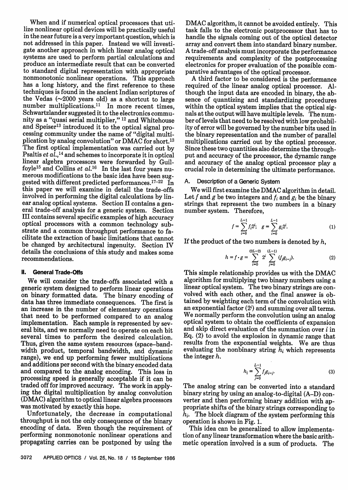When and if numerical optical processors that utilize nonlinear optical devices will be practically useful in the near future is a very important question, which is not addressed in this paper. Instead we will investigate another approach in which linear analog optical systems are used to perform partial calculations and produce an intermediate result that can be converted nonmonotonic nonlinear operations. This approach has a long history, and the first reference to these techniques is found in the ancient Indian scriptures of the Vedas  $(\sim 2000$  years old) as a shortcut to large number multiplications.<sup>11</sup> In more recent times, Schwartzlander suggested it to the electronics community as a "quasi serial multiplier," 12 and Whitehouse and Speiser<sup>13</sup> introduced it to the optical signal processing community under the name of "digital multiplication by analog convolution" or DMAC for short.<sup>13</sup><br>The first optical implementation was carried out by Psaltis *et al.*,<sup>14</sup> and schemes to incorporate it in optical linear algebra processors were forwarded by Guilfoyle<sup>15</sup> and Collins *et al.*<sup>16</sup> In the last four years numerous modifications to the basic idea have been suggested with different predicted performances.<sup>17-22</sup> In this paper we will examine in detail the trade-offs involved in performing the digital calculations by lineral trade-off analysis for a generic system. Section III contains several specific examples of high accuracy optical processors with a common technology substrate and a common throughput performance to facilitate the extraction of basic limitations that cannot be changed by architectural ingenuity. Section IV details the conclusions of this study and makes some recommendations.

## **II. General Trade-Offs**

We will consider the trade-offs associated with a generic system designed to perform linear operations on binary formatted data. The binary encoding of data has three immediate consequences. The first is<br>an increase in the number of elementary operations that need to be performed compared to an analog implementation. Each sample is represented by several bits, and we normally need to operate on each bit several times to perform the desired calculation.<br>Thus, given the same system resources (space-bandwidth product, temporal bandwidth, and dynamic range), we end up performing fewer multiplications and additions per second with the binary encoded data and compared to the analog encoding. This loss in processing speed is generally acceptable if it can be traded off for improved accuracy. The work in applying the digital multiplication by analog convolution (DMAG) algorithm to optical linear algebra processors

Unfortunately, the decrease in computational throughput is not the only consequence of the binary encoding of data. Even though the requirement of performing nonmonotonic nonlinear operations and propagating carries can be postponed by using the

DMAC algorithm, it cannot be avoided entirely. This task falls to the electronic postprocessor that has to handle the signals coming out of the optical detector array and convert them into standard binary number. requirements and complexity of the postprocessing electronics for proper evaluation of the possible com-

parative advantages of the optical processor.<br>A third factor to be considered is the performance required of the linear analog optical processor. Although the input data are encoded in binary, the absence of quantizing and standardizing procedures within the optical system implies that the optical signals at the output will have multiple levels. The num-<br>ber of levels that need to be resolved with low probability of error will be governed by the number bits used in<br>the binary representation and the number of parallel multiplications carried out by the optical processor. Since these two quantities also determine the throughput and accuracy of the processor, the dynamic range and accuracy of the analog optical processor play a crucial role in determining the ultimate performance.

#### A. Description of a Generic System

We will first examine the DMAC algorithm in detail.<br>Let f and g be two integers and  $f_i$  and  $g_i$  be the binary strings that represent the two numbers in a binary number system. Therefore,

$$
f = \sum_{i=0}^{L-1} f_i 2^i; \quad g = \sum_{i=0}^{L-1} g_i 2^i.
$$
 (1)

If the product of the two numbers is denoted by *h,*

$$
h = f \cdot g = \sum_{i=0}^{(2L-2)} 2^i \sum_{j=0}^{(L-1)} (f_j g_{i-j}).
$$
 (2)

This simple relationship provides us with the DMAC algorithm for multiplying two binary numbers using a linear optical system. The two binary strings are convolved with each other, and the final answer is obtained by weighting each term of the convolution with an exponential factor  $(2<sup>i</sup>)$  and summing over all terms.<br>We normally perform the convolution using an analog optical system to obtain the coefficients of expansion and skip direct evaluation of the summation over  $i$  in Eq. (2) to avoid the explosion in dynamic range that results from the exponential weights. We are thus evaluating the nonbinary string  $h_i$  which represents the integer  $h$ .

$$
h_i = \sum_{j=0}^{L-1} f_j g_{i-j}.
$$
 (3)

The analog string can be converted into a standard binary string by using an analog-to-digital (A-D) converter and then performing binary addition with appropriate shifts of the binary strings corresponding to *hi.* The block diagram of the system performing this operation is shown in Fig. 1.

This idea can be generalized to allow implementation of any linear transformation where the basic arithmetic operation involved is a sum of products. The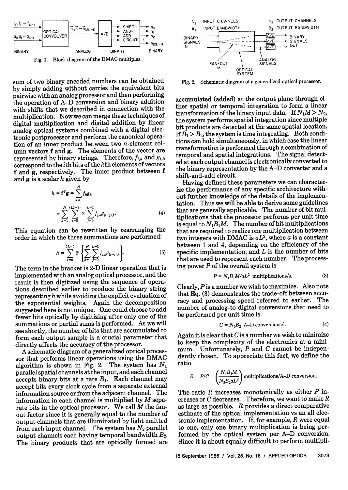

Fig. 1. Block diagram of the DMAC multiples.

sum of two binary encoded numbers can be obtained by simply adding without carries the equivalent bits pairwise with an analog processor and then performing the operation of A-D conversion and binary addition with shifts that we described in connection with the multiplication. Now we can merge these techniques of digital multiplication and digital addition by linear analog optical systems combined with a digital electronic postprocessor and perform the canonical operation of an inner product between two n-element column vectors f and g. The elements of the vector are represented by binary strings. Therefore,  $f_{i,k}$  and  $g_{i,k}$ correspond to the ith bits of the kth elements of vectors f and g, respectively. The inner product between f and g is a scalar *h* given by

$$
h = \mathbf{f}^T \mathbf{g} = \sum_{k=1}^N f_k g_k
$$
  
= 
$$
\sum_{k=1}^N \sum_{i=0}^{(2L-2)} 2^i \sum_{j=0}^{L-1} f_{j,k} g_{(i-j),k}.
$$
 (4)

This equation can be rewritten by rearranging the order in which the three summations are performed:

$$
h = \sum_{i=0}^{2L-2} 2^i \left\{ \sum_{k=1}^N \sum_{j=0}^{L-1} f_{j,k} g_{(i-j),k} \right\}.
$$
 (5)

The term in the bracket is 2-D linear operation that is implemented with an analog optical processor, and the result is then digitized using the sequence of operations described earlier to produce the binary string representing *h* while avoiding the explicit evaluation of the exponential weights. Again the decomposition suggested here is not unique. One could choose to add fewer bits optically by digitizing after only one of the summations or partial sums is performed. As we will see shortly, the number of bits that are accumulated to form each output sample is a crucial parameter that directly affects the accuracy of the processor.

A schematic diagram of a generalized optical processor that performs linear operations using the DMAC algorithm is shown in Fig. 2. The system has *N,* parallel spatial channels at the input, and each channel accepts binary bits at a rate  $B_1$ . Each channel may accept bits every clock cycle from a separate external information source or from the adjacent channel. The information in each channel is multiplied by *M* separate bits in the optical processor. We call *M* the fanout factor since it is generally equal to the number of output channels that are illuminated by light emitted from each input channel. The system has  $N_2$  parallel output channels each having temporal bandwidth  $B_2$ . The binary products that are optically formed are



Fig. 2. Schematic diagram of a generalized optical processor.

accumulated (added) at the output plane through either spatial or temporal integration to form a linear transformation of the binary input data. If  $N_1M > N_2$ , the system performs spatial integration since multiple bit products are detected at the same spatial location. If  $B_1 > B_2$ , the system is time integrating. Both conditions can hold simultaneously, in which case the linear transformation is performed through a combination of temporal and spatial integrations. The signal detected at each output channel is electronically converted to the binary representation by the A-D converter and a shift-and-add circuit.

Having defined these parameters we can characterize the performance of any specific architecture without further knowledge of the details of the implementation. Thus we will be able to derive some guidelines that are generally applicable. The number of bit multiplications that the processor performs per unit time is equal to  $N_1B_1M$ . The number of bit multiplications that are required to realize one multiplication between two integers with DMAC is *aL2,* where a is a constant between 1 and 4, depending on the efficiency of the specific implementation, and  $L$  is the number of bits that are used to represent each number. The processing power  $P$  of the overall system is

$$
P = N_1 B_1 M / aL^2
$$
 multiplications/s. (3)

Clearly,  $P$  is a number we wish to maximize. Also note that Eq. (3) demonstrates the trade-off between accuracy and processing speed referred to earlier. The number of analog-to-digital conversions that need to be performed per unit time is

$$
C = N_2 B_2 \text{ A-D conversions/s.}
$$
 (4)

Again it is clear that  $C$  is a number we wish to minimize to keep the complexity of the electronics at a minimum. Unfortunately,  $P$  and  $C$  cannot be independently chosen. To appreciate this fact, we define the ratio

$$
R = P/C = \left(\frac{N_1 B_1 M}{N_2 B_2 a L^2}\right)
$$
multiplications/A–D conversion.

The ratio  $R$  increases monotonically as either  $P$  increases or C decreases. Therefore, we want to make *R* as large as possible. *R* provides a direct comparative estimate of the optical implementation vs an all electronic implementation. If, for example, *R* were equal to one, only one binary multiplication is being performed by the optical system per A-D conversion. Since it is about equally difficult to perform multipli-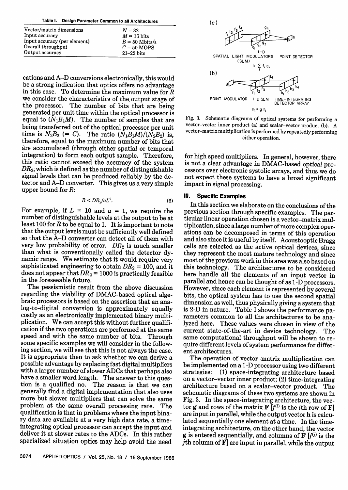| Table I. Design Parameter Common to all Architectures |
|-------------------------------------------------------|
|                                                       |

| Vector/matrix dimensions     | $N = 32$              |
|------------------------------|-----------------------|
| Input accuracy               | $M = 16$ bits         |
| Input accuracy (per element) | $B = 50$ Mbits/s      |
| Overall throughput           | $C = 50 \text{ MOPS}$ |
| Output accuracy              | $21-22$ bits          |

cations and A-D conversions electronically, this would in this case. To determine the maximum value for  $R$ we consider the characteristics of the output stage of the processor. The number of bits that are being generated per unit time within the optical processor is equal to  $(N_1B_1M)$ . The number of samples that are being transferred out of the optical processor per unit time is  $N_2B_2$  (= C). The ratio  $(N_1B_1M)/(N_2B_2)$  is, therefore, equal to the maximum number of bits that are accumulated (through either spatial or temporal integration) to form each output sample. Therefore, this ratio cannot exceed the accuracy of the system *DR2,* which is defined as the number of distinguishable signal levels that can be produced reliably by the detector and A-D converter. This gives us a very simple upper bound for *R:*

$$
R < DR_2/aL^2. \tag{6}
$$

For example, if  $L = 10$  and  $a = 1$ , we require the number of distinguishable levels at the output to be at least 100 for  $R$  to be equal to 1. It is important to note that the output levels must be sufficiently well defined so that the A-D converter can detect all of them with very low probability of error.  $DR<sub>2</sub>$  is much smaller than what is conventionally called the detector dynamic range. We estimate that it would require very sophisticated engineering to obtain  $DR_2 = 100$ , and it does not appear that  $DR_2 = 1000$  is practically feasible in the foreseeable future.

The pessismistic result from the above discussion regarding the viability of DMAC-based optical alge-<br>braic processors is based on the assertion that an analog-to-digital conversion is approximately equally costly as an electronically implemented binary multiplication. We can accept this without further qualifi- cation if the two operations are performed at the same speed and with the same number of bits. Through some specific examples we will consider in the following section, we will see that this is not always the case. It is appropriate then to ask whether we can derive a possible advantage by replacing fast digital multipliers with a larger number of slower ADCs that perhaps also have a smaller word length. The answer to this ques- tion is a qualified no. The reason is that we can generally find a digital implementation that also uses more but slower multipliers that can solve the same problem at the same overall processing rate. The qualification is that in problems where the input binary data are available at a very high data rate, a timeintegrating optical processor can accept the input and deliver it at slower rates to the ADCs. In this rather specialized situation optics may help avoid the need



Fig. 3. Schematic diagrams of optical systems for performing a vector-vector inner product (a) and scalar-vector product (b). A vector-matrix multiplication is performed by repeatedly performing either operation.

for high speed multipliers. In general, however, there is not a clear advantage in DMAC-based optical processors over electronic systolic arrays, and thus we do not expect these systems to have a broad significant impact in signal processing.

## **Ill. Specific Examples**

In this section we elaborate on the conclusions of the previous section through specific examples. The particular linear operation chosen is a vector-matrix mul-<br>tiplication, since a large number of more complex operations can be decomposed in terms of this operation<br>and also since it is useful by itself. Acoustooptic Bragg<br>cells are selected as the active optical devices, since they represent the most mature technology and since most of the previous work in this area was also based on this technology. The architectures to be considered here handle all the elements of an input vector in parallel and hence can be thought of as 1-D processors. However, since each element is represented by several<br>bits, the optical system has to use the second spatial dimension as well, thus physically giving a system that is 2-D in nature. Table I shows the performance parameters common to all the architectures to be analyzed here. These values were chosen in view of the current state-of-the-art in device technology. The same computational throughput will be shown to require different levels of system performance for different architectures.

The operation of vector-matrix multiplication can be implemented on a 1-D processor using two different strategies: (1) space-integrating architecture based on a vector-vector inner product; (2) time-integrating architecture based on a scalar-vector product. The schematic diagrams of these two systems are shown in Fig. 3. In the space-integrating architecture, the vector **g** and rows of the matrix  $\mathbf{F} [f^{(i)}]$  is the *i*th row of **F**] are input in parallel, while the output vector h is calculated sequentially one element at a time. In the timeintegrating architecture, on the other hand, the vector **g** is entered sequentially, and columns of  $\mathbf{F}$   $(f^{(j)})$  is the *j*th column of  $F$  are input in parallel, while the output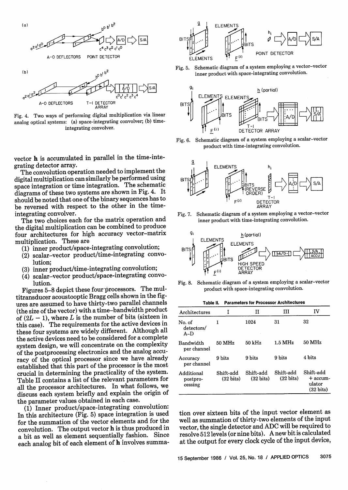



Fig. 4. Two ways of performing digital multiplication via linear analog optical systems: (a) space-integrating convolver; (b) timeintegrating convolver.

vector h is accumulated in parallel in the time-integrating detector array.

The convolution operation needed to implement the digital multiplication can similarly be performed using space integration or time integration. The schematic diagrams of these two systems are shown in Fig. 4. It should be noted that one of the binary sequences has to be reversed with respect to the other in the timeintegrating convolver.

The two choices each for the matrix operation and the digital multiplication can be combined to produce four architectures for high accuracy vector-matrix multiplication. These are

- (1) inner product/space-integrating convolution;
- (2) scalar-vector product/time-integrating convolution;
- (3) inner product/time-integrating convolution;
- (4) scalar-vector product/space-integrating convolution.

Figures 5-8 depict these four processors. The multitransducer acoustooptic Bragg cells shown in the figures are assumed to have thirty-two parallel channels (the size of the vector) with a time-bandwidth product of  $(2L - 1)$ , where *L* is the number of bits (sixteen in this case). The requirements for the active devices in these four systems are widely different. Although all the active devices need to be considered for a complete system design, we will concentrate on the complexity of the postprocessing electronics and the analog accuracy of the optical processor since we have already established that this part of the processor is the most crucial in determining the practicality of the system. Table II contains a list of the relevant parameters for all the processor architectures. In what follows, we discuss each system briefly and explain the origin of the parameter values obtained in each case.

(1) Inner product/space-integrating convolution: In this architecture (Fig. 5) space integration is used for the summation of the vector elements and for the convolution. The output vector h is thus produced in a bit as well as element sequentially fashion. Since each analog bit of each element of h involves summa-



Fig. 5. Schematic diagram of a system employing a vector-vector inner product with space-integrating convolution.



Fig. 6. Schematic diagram of a system employing a scalar-vector product with time-integrating convolution.



Fig. 7. Schematic diagram of a system employing a vector-vector inner product with time-integrating convolution.



Fig. 8. Schematic diagram of a system employing a scalar-vector product with space-integrating convolution.

**Table II. Parameters for Processor Architectures**

| Architectures                     |                                  | п                                | ш                                | IV                                                       |
|-----------------------------------|----------------------------------|----------------------------------|----------------------------------|----------------------------------------------------------|
| No. of<br>detectors/<br>$A-D$     | 1                                | 1024                             | 31                               | 32                                                       |
| Bandwidth<br>per channel          | $50 \text{ MHz}$                 | $50 \mathrm{~kHz}$               | 1.5 MHz                          | 50 MHz                                                   |
| Accuracy<br>per channel           | 9 hits                           | 9 bits                           | 9 bits                           | 4 hits                                                   |
| Additional<br>postpro-<br>cessing | Shift-add<br>$(32 \text{ bits})$ | Shift-add<br>$(32 \text{ bits})$ | Shift-add<br>$(32 \text{ bits})$ | Shift-add<br>$+$ accum-<br>ulator<br>$(32 \text{ bits})$ |

tion over sixteen bits of the input vector element as well as summation of thirty-two elements of the input vector, the single detector and ADC will be required to resolve 512 levels (or nine bits). A new bit is calculated at the output for every clock cycle of the input device,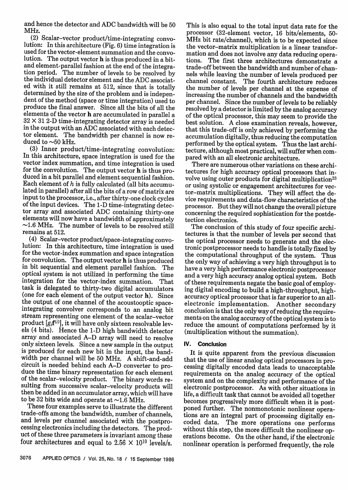and hence the detector and ADC bandwidth will be 50 MHz.

(2) Scalar-vector product/time-integrating convolution: In this architecture (Fig. 6) time integration is used for the vector-element summation and the convolution. The output vector **h** is thus produced in a bit-<br>and element-parallel fashion at the end of the integration period. The number of levels to be resolved by the individual detector element and the ADC associated with it still remains at 512, since that is totally determined by the size of the problem and is independent of the method (space or time integration) used to produce the final answer. Since all the bits of all the elements of the vector h are accumulated in parallel a 32 X 31 2-D time-integrating detector array is needed in the output with an ADC associated with each detector element. The bandwidth per channel is now reduced to  $\sim$ 50 kHz.

(3) Inner product/time-integrating convolution: In this architecture, space integration is used for the vector index summation, and time integration is used<br>for the convolution. The output vector **h** is thus produced in a bit parallel and element sequential fashion. Each element of  $h$  is fully calculated (all bits accumulated in parallel) after all the bits of a row of matrix are input to the processor, i.e., after thirty-one clock cycles of the input devices. The 1-D time-integrating detector array and associated ADC containing thirty-one  $\sim$ 1.6 MHz. The number of levels to be resolved still remains at 512.

(4) Scalar-vector product/space-integrating convolution: In this architecture, time integration is used for convolution. The output vector **h** is thus produced in bit sequential and element parallel fashion. The optical system is not utilized in performing the time integration for the vector-index summation. That task is delegated to thirty-two digital accumulators (one for each element of the output vector h). Since the output of one channel of the acoustooptic space- integrating convolver corresponds to an analog bit stream representing one element of the scalar-vector product  $[g_i \mathbf{f}^{(i)}]$ , it will have only sixteen resolvable levels (4 bits). Hence the 1-D high bandwidth detector array and associated A-D array will need to resolve is produced for each new bit in the input, the bandwidth per channel will be 50 MHz. A shift-and-add duce the time binary representation for each element of the scalar-velocity product. The binary words resulting from successive scalar-velocity products will then be added in an accumulator array, which will have to be 32 bits wide and operate at  $\sim$ 1.6 MHz.

These four examples serve to illustrate the different trade-offs among the bandwidth, number of channels, and levels per channel associated with the postpro- cessing electronics including the detectors. The product of these three parameters is invariant among these four architectures and equal to 2.56  $\times$  10<sup>10</sup> levels/s.

This is also equal to the total input data rate for the processor (32-element vector, 16 bits/elements, 50- MHz bit rate/channel), which is to be expected since the vector-matrix multiplication is a linear transformation and does not involve any data reducing opera- tions. The first three architectures demonstrate a trade-off between the bandwidth and number of chanchannel constant. The fourth architecture reduces the number of levels per channel at the expense of increasing the number of channels and the bandwidth resolved by a detector is limited by the analog accuracy of the optical processor, this may seem to provide the best solution. A close examination reveals, however, that this trade-off is only achieved by performing the accumulation digitally, thus reducing the computation performed by the optical system. Thus the last architecture, although most practical, will suffer when compared with an all electronic architecture.

There are numerous other variations on these architectures for high accuracy optical processors that involve using outer products for digital multiplication<sup>23</sup> or using systolic or engagement architectures for vector-matrix multiplications. They will affect the device requirements and data-flow characteristics of the concerning the required sophistication for the postde-<br>tection electronics.

The conclusion of this study of four specific architectures is that the number of levels per second that the optical processor needs to generate and the electronic postprocessor needs to handle is totally fixed by the computational throughput of the system. Thus the only way of achieving a very high throughput is to have a very high performance electronic postprocessor and a very high accuracy analog optical system. Both of these requirements negate the basic goal of employ- ing digital encoding to build a high-throughput, highaccuracy optical processor that is far superior to an all-<br>electronic implementation. Another secondary conclusion is that the only way of reducing the requirements on the analog accuracy of the optical system is to reduce the amount of computations performed by it (multiplication without the summation).

# **IV. Conclusion**

It is quite apparent from the previous discussion<br>that the use of linear analog optical processors in processing digitally encoded data leads to unacceptable requirements on the analog accuracy of the optical system and on the complexity and performance of the electronic postprocessor. As with other situations in life, a difficult task that cannot be avoided all together becomes progressively more difficult when it is post-<br>poned further. The nonmonotonic nonlinear opera-<br>tions are an integral part of processing digitally en-<br>coded data. The more operations one performs without this step, the more difficult the nonlinear operations become. On the other hand, if the electronic nonlinear operation is performed frequently, the role